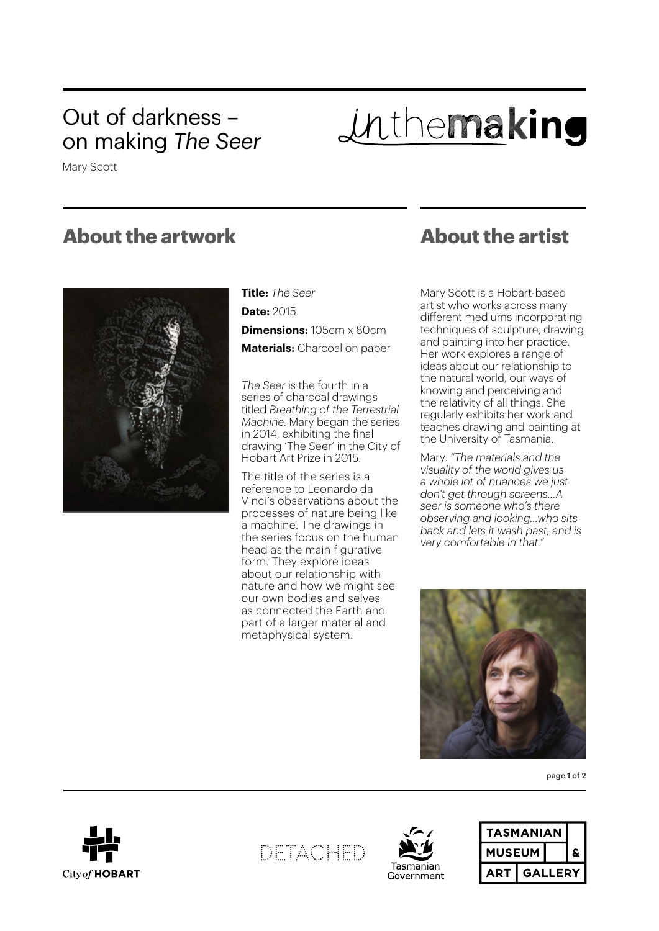## Out of darkness – on making *The Seer*

Inthemaking

Mary Scott

### **About the artwork**



**Title:** *The Seer* **Date:** 2015 **Dimensions:** 105cm x 80cm

**Materials:** Charcoal on paper

*The Seer* is the fourth in a series of charcoal drawings titled *Breathing of the Terrestrial Machine*. Mary began the series in 2014, exhibiting the final drawing 'The Seer' in the City of Hobart Art Prize in 2015.

The title of the series is a reference to Leonardo da Vinci's observations about the processes of nature being like a machine. The drawings in the series focus on the human head as the main figurative form. They explore ideas about our relationship with nature and how we might see our own bodies and selves as connected the Earth and part of a larger material and metaphysical system.

## **About the artist**

Mary Scott is a Hobart-based artist who works across many different mediums incorporating techniques of sculpture, drawing and painting into her practice. Her work explores a range of ideas about our relationship to the natural world, our ways of knowing and perceiving and the relativity of all things. She regularly exhibits her work and teaches drawing and painting at the University of Tasmania.

Mary: *"The materials and the visuality of the world gives us a whole lot of nuances we just don't get through screens…A seer is someone who's there observing and looking…who sits back and lets it wash past, and is very comfortable in that."*



page 1 of 2